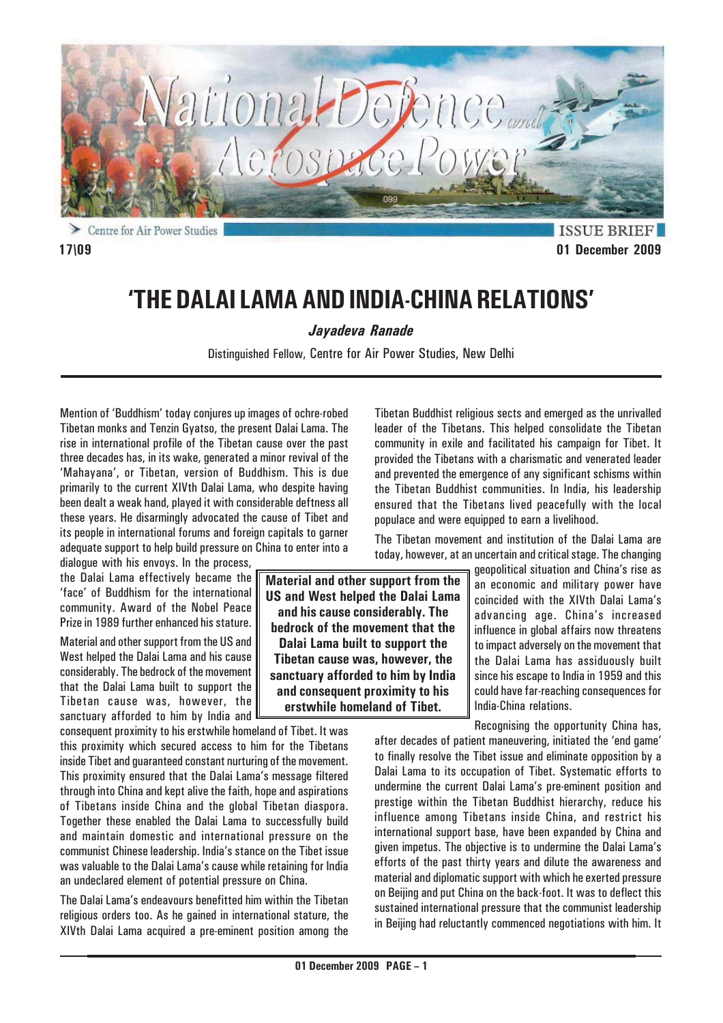

# **'THE DALAI LAMA AND INDIA-CHINA RELATIONS'**

*Jayadeva Ranade*

Distinguished Fellow, Centre for Air Power Studies, New Delhi

Mention of 'Buddhism' today conjures up images of ochre-robed Tibetan monks and Tenzin Gyatso, the present Dalai Lama. The rise in international profile of the Tibetan cause over the past three decades has, in its wake, generated a minor revival of the 'Mahayana', or Tibetan, version of Buddhism. This is due primarily to the current XIVth Dalai Lama, who despite having been dealt a weak hand, played it with considerable deftness all these years. He disarmingly advocated the cause of Tibet and its people in international forums and foreign capitals to garner adequate support to help build pressure on China to enter into a

dialogue with his envoys. In the process, the Dalai Lama effectively became the 'face' of Buddhism for the international community. Award of the Nobel Peace Prize in 1989 further enhanced his stature.

Material and other support from the US and West helped the Dalai Lama and his cause considerably. The bedrock of the movement that the Dalai Lama built to support the Tibetan cause was, however, the sanctuary afforded to him by India and

consequent proximity to his erstwhile homeland of Tibet. It was this proximity which secured access to him for the Tibetans inside Tibet and guaranteed constant nurturing of the movement. This proximity ensured that the Dalai Lama's message filtered through into China and kept alive the faith, hope and aspirations of Tibetans inside China and the global Tibetan diaspora. Together these enabled the Dalai Lama to successfully build and maintain domestic and international pressure on the communist Chinese leadership. India's stance on the Tibet issue was valuable to the Dalai Lama's cause while retaining for India an undeclared element of potential pressure on China.

The Dalai Lama's endeavours benefitted him within the Tibetan religious orders too. As he gained in international stature, the XIVth Dalai Lama acquired a pre-eminent position among the

**Material and other support from the US and West helped the Dalai Lama and his cause considerably. The bedrock of the movement that the Dalai Lama built to support the Tibetan cause was, however, the sanctuary afforded to him by India and consequent proximity to his erstwhile homeland of Tibet.**

Tibetan Buddhist religious sects and emerged as the unrivalled leader of the Tibetans. This helped consolidate the Tibetan community in exile and facilitated his campaign for Tibet. It provided the Tibetans with a charismatic and venerated leader and prevented the emergence of any significant schisms within the Tibetan Buddhist communities. In India, his leadership ensured that the Tibetans lived peacefully with the local populace and were equipped to earn a livelihood.

The Tibetan movement and institution of the Dalai Lama are today, however, at an uncertain and critical stage. The changing

> geopolitical situation and China's rise as an economic and military power have coincided with the XIVth Dalai Lama's advancing age. China's increased influence in global affairs now threatens to impact adversely on the movement that the Dalai Lama has assiduously built since his escape to India in 1959 and this could have far-reaching consequences for India-China relations.

Recognising the opportunity China has,

after decades of patient maneuvering, initiated the 'end game' to finally resolve the Tibet issue and eliminate opposition by a Dalai Lama to its occupation of Tibet. Systematic efforts to undermine the current Dalai Lama's pre-eminent position and prestige within the Tibetan Buddhist hierarchy, reduce his influence among Tibetans inside China, and restrict his international support base, have been expanded by China and given impetus. The objective is to undermine the Dalai Lama's efforts of the past thirty years and dilute the awareness and material and diplomatic support with which he exerted pressure on Beijing and put China on the back-foot. It was to deflect this sustained international pressure that the communist leadership in Beijing had reluctantly commenced negotiations with him. It

**ISSUE BRIEF 17\09 01 December 2009**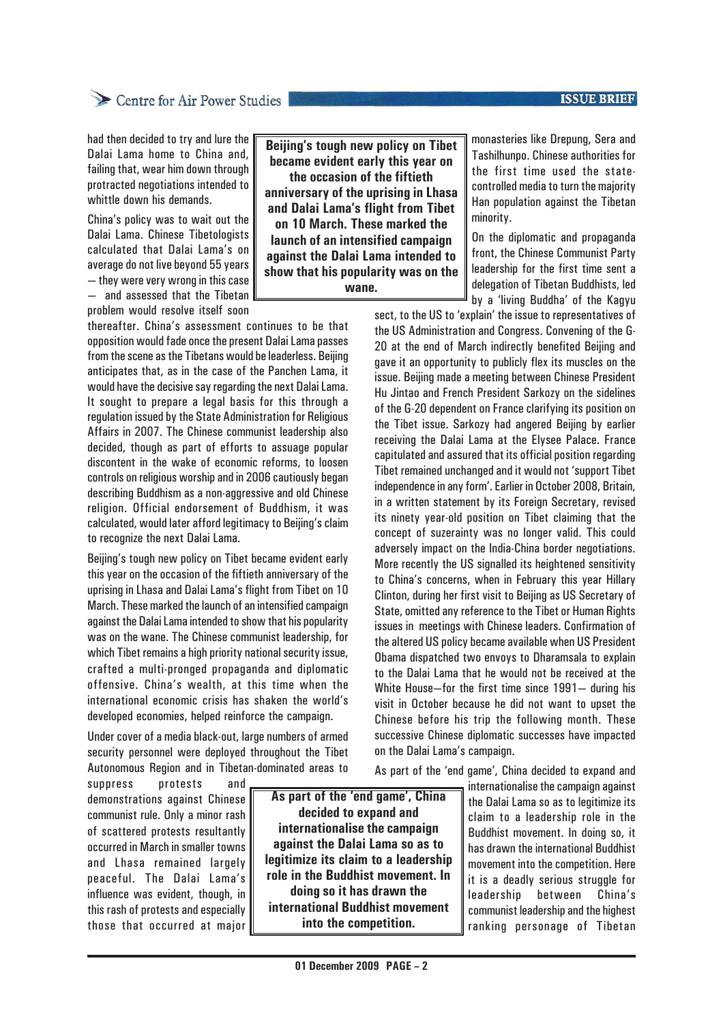#### **ISSUE BRIEF**

## Centre for Air Power Studies

had then decided to try and lure the Dalai Lama home to China and, failing that, wear him down through protracted negotiations intended to whittle down his demands.

China's policy was to wait out the Dalai Lama. Chinese Tibetologists calculated that Dalai Lama's on average do not live beyond 55 years — they were very wrong in this case — and assessed that the Tibetan problem would resolve itself soon

thereafter. China's assessment continues to be that opposition would fade once the present Dalai Lama passes from the scene as the Tibetans would be leaderless. Beijing anticipates that, as in the case of the Panchen Lama, it would have the decisive say regarding the next Dalai Lama. It sought to prepare a legal basis for this through a regulation issued by the State Administration for Religious Affairs in 2007. The Chinese communist leadership also decided, though as part of efforts to assuage popular discontent in the wake of economic reforms, to loosen controls on religious worship and in 2006 cautiously began describing Buddhism as a non-aggressive and old Chinese religion. Official endorsement of Buddhism, it was calculated, would later afford legitimacy to Beijing's claim to recognize the next Dalai Lama.

Beijing's tough new policy on Tibet became evident early this year on the occasion of the fiftieth anniversary of the uprising in Lhasa and Dalai Lama's flight from Tibet on 10 March. These marked the launch of an intensified campaign against the Dalai Lama intended to show that his popularity was on the wane. The Chinese communist leadership, for which Tibet remains a high priority national security issue, crafted a multi-pronged propaganda and diplomatic offensive. China's wealth, at this time when the international economic crisis has shaken the world's developed economies, helped reinforce the campaign.

Under cover of a media black-out, large numbers of armed security personnel were deployed throughout the Tibet Autonomous Region and in Tibetan-dominated areas to

suppress protests and demonstrations against Chinese communist rule. Only a minor rash of scattered protests resultantly occurred in March in smaller towns and Lhasa remained largely peaceful. The Dalai Lama's influence was evident, though, in this rash of protests and especially those that occurred at major

**Beijing's tough new policy on Tibet became evident early this year on the occasion of the fiftieth anniversary of the uprising in Lhasa and Dalai Lama's flight from Tibet on 10 March. These marked the launch of an intensified campaign against the Dalai Lama intended to show that his popularity was on the wane.**

monasteries like Drepung, Sera and Tashilhunpo. Chinese authorities for the first time used the statecontrolled media to turn the majority Han population against the Tibetan minority.

On the diplomatic and propaganda front, the Chinese Communist Party leadership for the first time sent a delegation of Tibetan Buddhists, led by a 'living Buddha' of the Kagyu

sect, to the US to 'explain' the issue to representatives of the US Administration and Congress. Convening of the G-20 at the end of March indirectly benefited Beijing and gave it an opportunity to publicly flex its muscles on the issue. Beijing made a meeting between Chinese President Hu Jintao and French President Sarkozy on the sidelines of the G-20 dependent on France clarifying its position on the Tibet issue. Sarkozy had angered Beijing by earlier receiving the Dalai Lama at the Elysee Palace. France capitulated and assured that its official position regarding Tibet remained unchanged and it would not 'support Tibet independence in any form'. Earlier in October 2008, Britain, in a written statement by its Foreign Secretary, revised its ninety year-old position on Tibet claiming that the concept of suzerainty was no longer valid. This could adversely impact on the India-China border negotiations. More recently the US signalled its heightened sensitivity to China's concerns, when in February this year Hillary Clinton, during her first visit to Beijing as US Secretary of State, omitted any reference to the Tibet or Human Rights issues in meetings with Chinese leaders. Confirmation of the altered US policy became available when US President Obama dispatched two envoys to Dharamsala to explain to the Dalai Lama that he would not be received at the White House—for the first time since 1991— during his visit in October because he did not want to upset the Chinese before his trip the following month. These successive Chinese diplomatic successes have impacted on the Dalai Lama's campaign.

As part of the 'end game', China decided to expand and

**As part of the 'end game', China decided to expand and internationalise the campaign against the Dalai Lama so as to legitimize its claim to a leadership role in the Buddhist movement. In doing so it has drawn the international Buddhist movement into the competition.**

internationalise the campaign against the Dalai Lama so as to legitimize its claim to a leadership role in the Buddhist movement. In doing so, it has drawn the international Buddhist movement into the competition. Here it is a deadly serious struggle for leadership between China's communist leadership and the highest ranking personage of Tibetan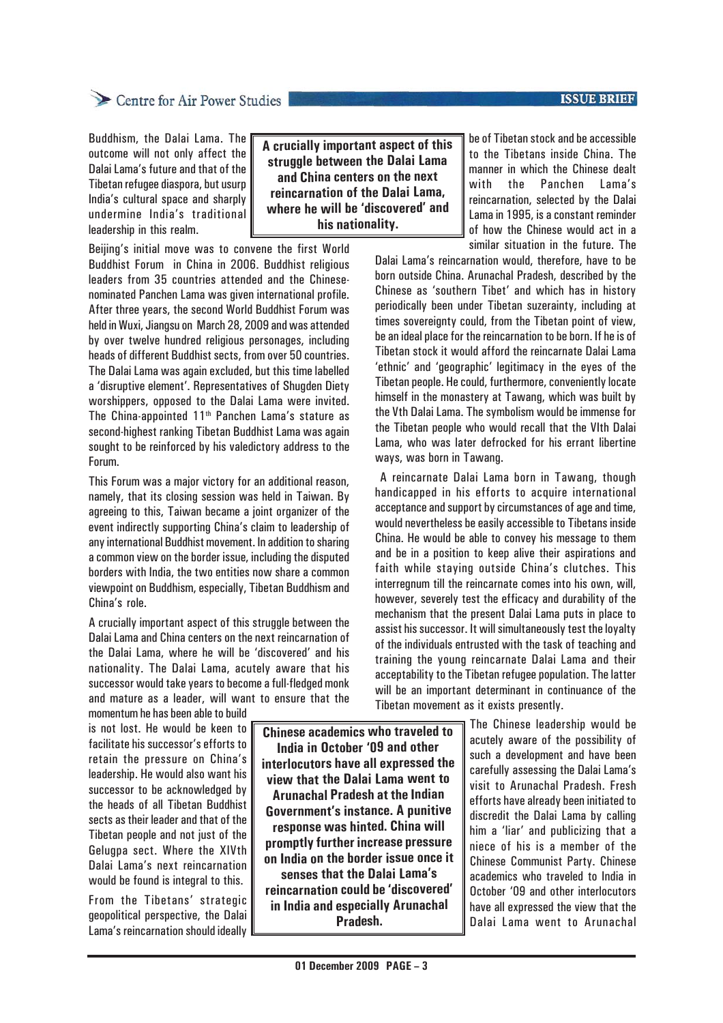#### **ISSUE BRIEF**

## Centre for Air Power Studies

Buddhism, the Dalai Lama. The outcome will not only affect the Dalai Lama's future and that of the Tibetan refugee diaspora, but usurp India's cultural space and sharply undermine India's traditional leadership in this realm.

**A crucially important aspect of this struggle between the Dalai Lama and China centers on the next reincarnation of the Dalai Lama, where he will be 'discovered' and his nationality.**

Beijing's initial move was to convene the first World Buddhist Forum in China in 2006. Buddhist religious leaders from 35 countries attended and the Chinesenominated Panchen Lama was given international profile. After three years, the second World Buddhist Forum was held in Wuxi, Jiangsu on March 28, 2009 and was attended by over twelve hundred religious personages, including heads of different Buddhist sects, from over 50 countries. The Dalai Lama was again excluded, but this time labelled a 'disruptive element'. Representatives of Shugden Diety worshippers, opposed to the Dalai Lama were invited. The China-appointed  $11<sup>th</sup>$  Panchen Lama's stature as second-highest ranking Tibetan Buddhist Lama was again sought to be reinforced by his valedictory address to the Forum.

This Forum was a major victory for an additional reason, namely, that its closing session was held in Taiwan. By agreeing to this, Taiwan became a joint organizer of the event indirectly supporting China's claim to leadership of any international Buddhist movement. In addition to sharing a common view on the border issue, including the disputed borders with India, the two entities now share a common viewpoint on Buddhism, especially, Tibetan Buddhism and China's role.

A crucially important aspect of this struggle between the Dalai Lama and China centers on the next reincarnation of the Dalai Lama, where he will be 'discovered' and his nationality. The Dalai Lama, acutely aware that his successor would take years to become a full-fledged monk and mature as a leader, will want to ensure that the

momentum he has been able to build is not lost. He would be keen to facilitate his successor's efforts to retain the pressure on China's leadership. He would also want his successor to be acknowledged by the heads of all Tibetan Buddhist sects as their leader and that of the Tibetan people and not just of the Gelugpa sect. Where the XIVth Dalai Lama's next reincarnation would be found is integral to this.

From the Tibetans' strategic geopolitical perspective, the Dalai Lama's reincarnation should ideally

**Chinese academics who traveled to India in October '09 and other interlocutors have all expressed the view that the Dalai Lama went to Arunachal Pradesh at the Indian Government's instance. A punitive response was hinted. China will promptly further increase pressure on India on the border issue once it senses that the Dalai Lama's reincarnation could be 'discovered' in India and especially Arunachal**

**Pradesh.**

be of Tibetan stock and be accessible to the Tibetans inside China. The manner in which the Chinese dealt with the Panchen Lama's reincarnation, selected by the Dalai Lama in 1995, is a constant reminder of how the Chinese would act in a similar situation in the future. The

Dalai Lama's reincarnation would, therefore, have to be born outside China. Arunachal Pradesh, described by the Chinese as 'southern Tibet' and which has in history periodically been under Tibetan suzerainty, including at times sovereignty could, from the Tibetan point of view, be an ideal place for the reincarnation to be born. If he is of Tibetan stock it would afford the reincarnate Dalai Lama 'ethnic' and 'geographic' legitimacy in the eyes of the Tibetan people. He could, furthermore, conveniently locate himself in the monastery at Tawang, which was built by the Vth Dalai Lama. The symbolism would be immense for the Tibetan people who would recall that the VIth Dalai Lama, who was later defrocked for his errant libertine ways, was born in Tawang.

 A reincarnate Dalai Lama born in Tawang, though handicapped in his efforts to acquire international acceptance and support by circumstances of age and time, would nevertheless be easily accessible to Tibetans inside China. He would be able to convey his message to them and be in a position to keep alive their aspirations and faith while staying outside China's clutches. This interregnum till the reincarnate comes into his own, will, however, severely test the efficacy and durability of the mechanism that the present Dalai Lama puts in place to assist his successor. It will simultaneously test the loyalty of the individuals entrusted with the task of teaching and training the young reincarnate Dalai Lama and their acceptability to the Tibetan refugee population. The latter will be an important determinant in continuance of the Tibetan movement as it exists presently.

> The Chinese leadership would be acutely aware of the possibility of such a development and have been carefully assessing the Dalai Lama's visit to Arunachal Pradesh. Fresh efforts have already been initiated to discredit the Dalai Lama by calling him a 'liar' and publicizing that a niece of his is a member of the Chinese Communist Party. Chinese academics who traveled to India in October '09 and other interlocutors have all expressed the view that the Dalai Lama went to Arunachal